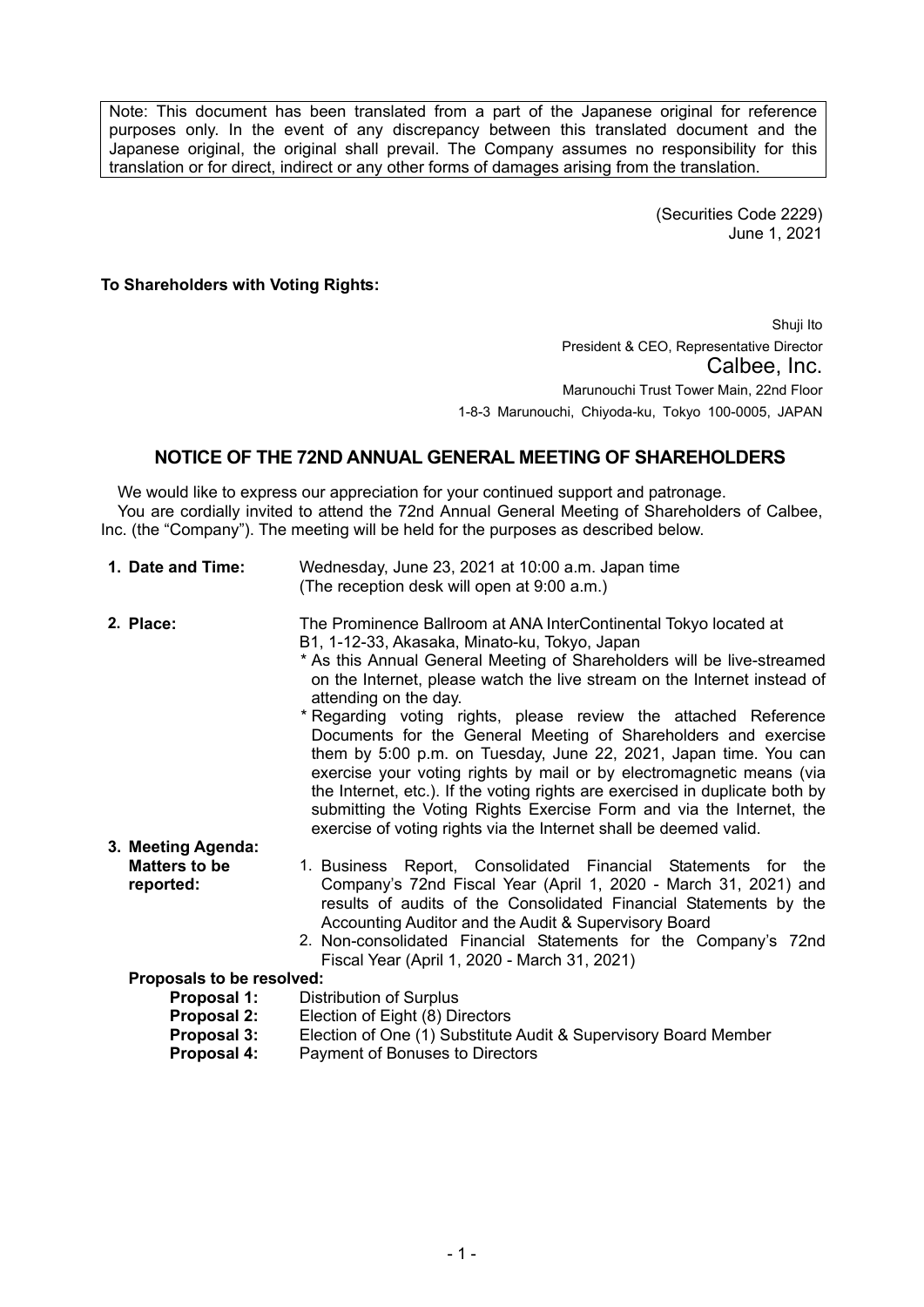Note: This document has been translated from a part of the Japanese original for reference purposes only. In the event of any discrepancy between this translated document and the Japanese original, the original shall prevail. The Company assumes no responsibility for this translation or for direct, indirect or any other forms of damages arising from the translation.

> (Securities Code 2229) June 1, 2021

**To Shareholders with Voting Rights:** 

Shuji Ito President & CEO, Representative Director Calbee, Inc. Marunouchi Trust Tower Main, 22nd Floor 1-8-3 Marunouchi, Chiyoda-ku, Tokyo 100-0005, JAPAN

## **NOTICE OF THE 72ND ANNUAL GENERAL MEETING OF SHAREHOLDERS**

We would like to express our appreciation for your continued support and patronage. You are cordially invited to attend the 72nd Annual General Meeting of Shareholders of Calbee, Inc. (the "Company"). The meeting will be held for the purposes as described below.

| 1. Date and Time:                 | Wednesday, June 23, 2021 at 10:00 a.m. Japan time<br>(The reception desk will open at 9:00 a.m.)                                                                                                                                                                                                                                                                                                                                                                                                                                                                                                                                                                                                                                                                                                               |
|-----------------------------------|----------------------------------------------------------------------------------------------------------------------------------------------------------------------------------------------------------------------------------------------------------------------------------------------------------------------------------------------------------------------------------------------------------------------------------------------------------------------------------------------------------------------------------------------------------------------------------------------------------------------------------------------------------------------------------------------------------------------------------------------------------------------------------------------------------------|
| 2. Place:                         | The Prominence Ballroom at ANA InterContinental Tokyo located at<br>B1, 1-12-33, Akasaka, Minato-ku, Tokyo, Japan<br>* As this Annual General Meeting of Shareholders will be live-streamed<br>on the Internet, please watch the live stream on the Internet instead of<br>attending on the day.<br>* Regarding voting rights, please review the attached Reference<br>Documents for the General Meeting of Shareholders and exercise<br>them by 5:00 p.m. on Tuesday, June 22, 2021, Japan time. You can<br>exercise your voting rights by mail or by electromagnetic means (via<br>the Internet, etc.). If the voting rights are exercised in duplicate both by<br>submitting the Voting Rights Exercise Form and via the Internet, the<br>exercise of voting rights via the Internet shall be deemed valid. |
| 3. Meeting Agenda:                |                                                                                                                                                                                                                                                                                                                                                                                                                                                                                                                                                                                                                                                                                                                                                                                                                |
| <b>Matters to be</b><br>reported: | 1. Business Report, Consolidated Financial Statements for<br>the<br>Company's 72nd Fiscal Year (April 1, 2020 - March 31, 2021) and<br>results of audits of the Consolidated Financial Statements by the<br>Accounting Auditor and the Audit & Supervisory Board<br>2. Non-consolidated Financial Statements for the Company's 72nd<br>Fiscal Year (April 1, 2020 - March 31, 2021)                                                                                                                                                                                                                                                                                                                                                                                                                            |
| Proposals to be resolved:         |                                                                                                                                                                                                                                                                                                                                                                                                                                                                                                                                                                                                                                                                                                                                                                                                                |
| Proposal 1:                       | <b>Distribution of Surplus</b>                                                                                                                                                                                                                                                                                                                                                                                                                                                                                                                                                                                                                                                                                                                                                                                 |
| Proposal 2:                       | Election of Eight (8) Directors                                                                                                                                                                                                                                                                                                                                                                                                                                                                                                                                                                                                                                                                                                                                                                                |
| Proposal 3:                       | Election of One (1) Substitute Audit & Supervisory Board Member                                                                                                                                                                                                                                                                                                                                                                                                                                                                                                                                                                                                                                                                                                                                                |
| Proposal 4:                       | Payment of Bonuses to Directors                                                                                                                                                                                                                                                                                                                                                                                                                                                                                                                                                                                                                                                                                                                                                                                |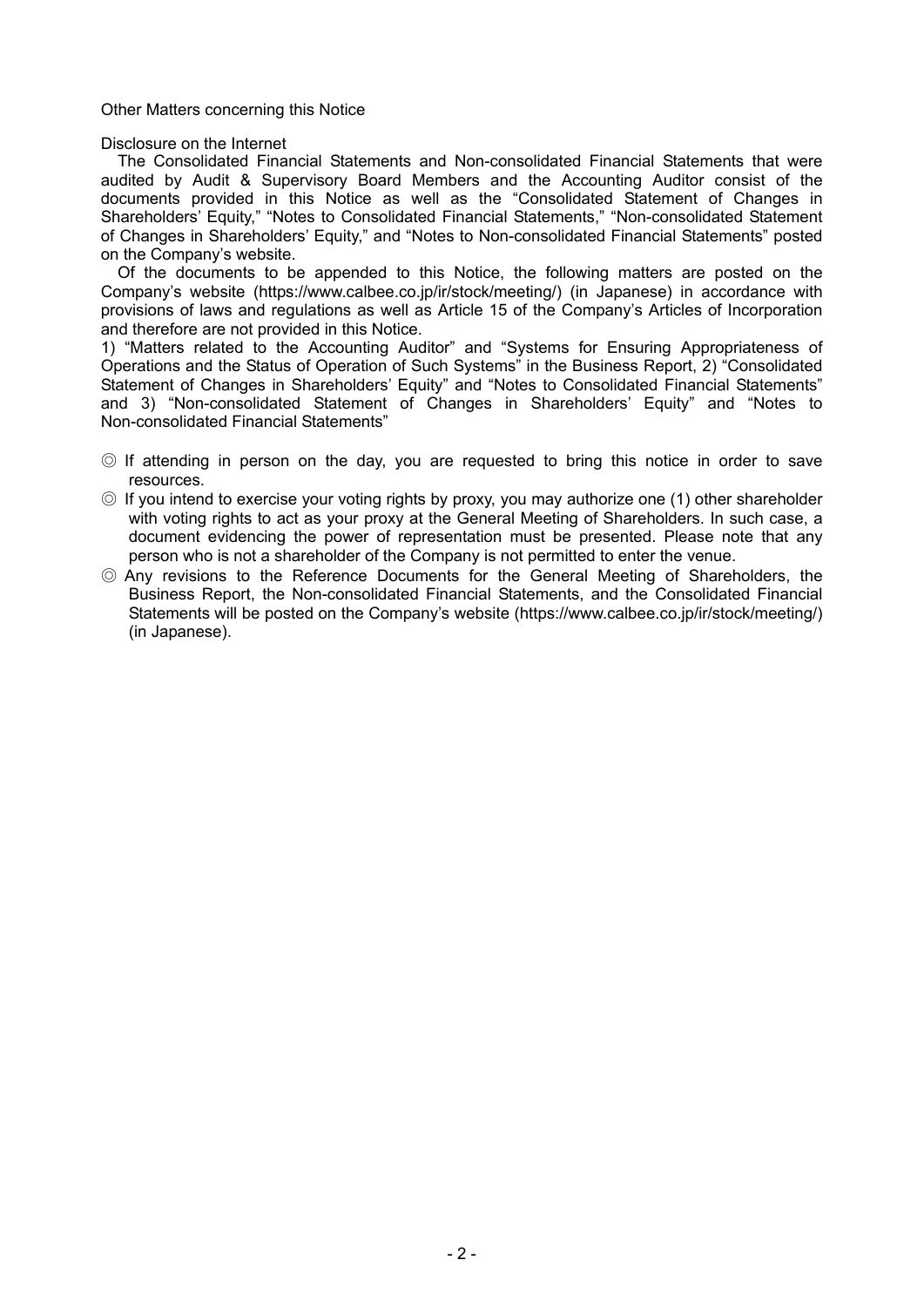Other Matters concerning this Notice

Disclosure on the Internet

The Consolidated Financial Statements and Non-consolidated Financial Statements that were audited by Audit & Supervisory Board Members and the Accounting Auditor consist of the documents provided in this Notice as well as the "Consolidated Statement of Changes in Shareholders' Equity," "Notes to Consolidated Financial Statements," "Non-consolidated Statement of Changes in Shareholders' Equity," and "Notes to Non-consolidated Financial Statements" posted on the Company's website.

Of the documents to be appended to this Notice, the following matters are posted on the Company's website (https://www.calbee.co.jp/ir/stock/meeting/) (in Japanese) in accordance with provisions of laws and regulations as well as Article 15 of the Company's Articles of Incorporation and therefore are not provided in this Notice.

1) "Matters related to the Accounting Auditor" and "Systems for Ensuring Appropriateness of Operations and the Status of Operation of Such Systems" in the Business Report, 2) "Consolidated Statement of Changes in Shareholders' Equity" and "Notes to Consolidated Financial Statements" and 3) "Non-consolidated Statement of Changes in Shareholders' Equity" and "Notes to Non-consolidated Financial Statements"

- ◎ If attending in person on the day, you are requested to bring this notice in order to save resources.
- ◎ If you intend to exercise your voting rights by proxy, you may authorize one (1) other shareholder with voting rights to act as your proxy at the General Meeting of Shareholders. In such case, a document evidencing the power of representation must be presented. Please note that any person who is not a shareholder of the Company is not permitted to enter the venue.
- ◎ Any revisions to the Reference Documents for the General Meeting of Shareholders, the Business Report, the Non-consolidated Financial Statements, and the Consolidated Financial Statements will be posted on the Company's website (https://www.calbee.co.jp/ir/stock/meeting/) (in Japanese).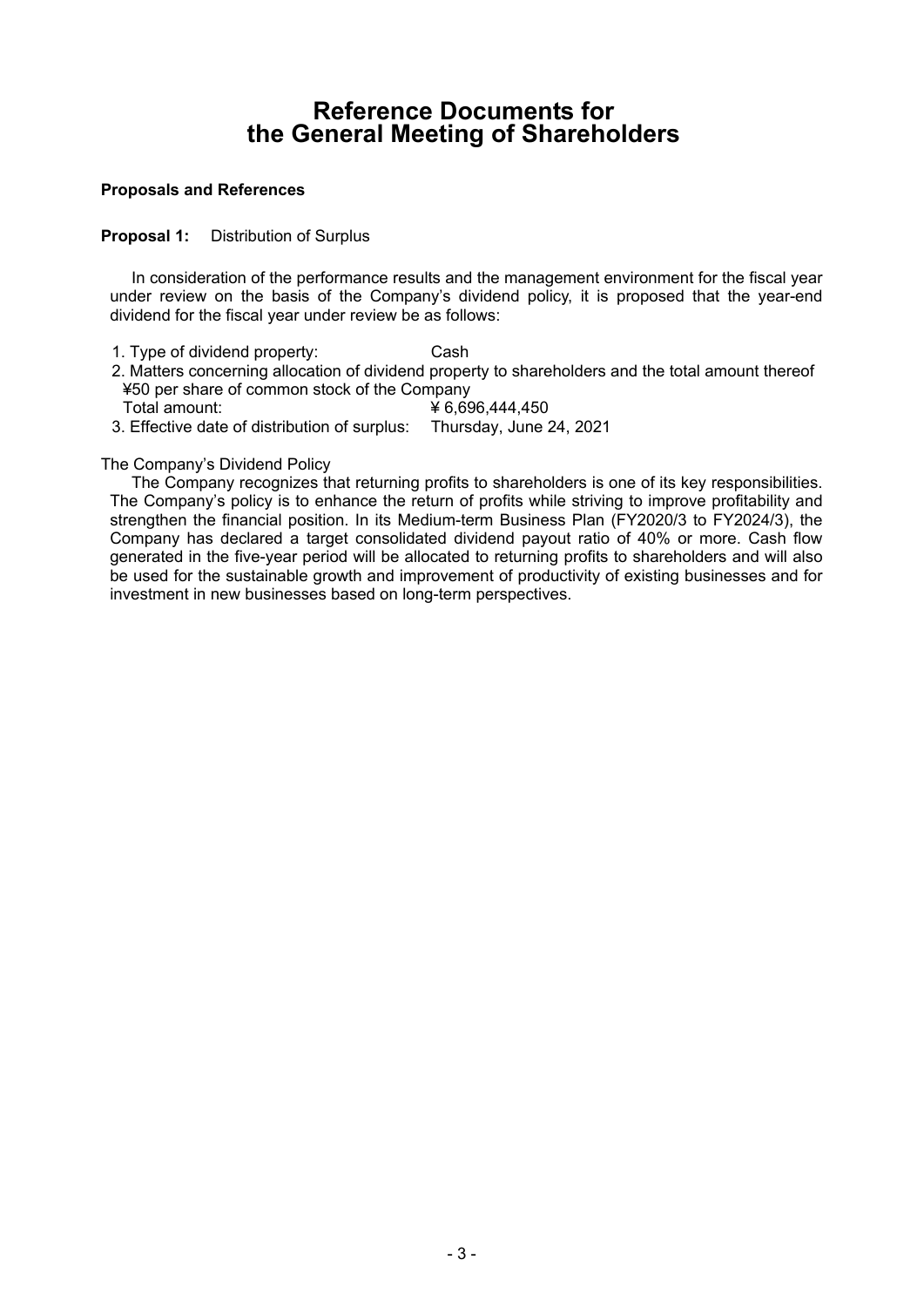# **Reference Documents for the General Meeting of Shareholders**

#### **Proposals and References**

### **Proposal 1:** Distribution of Surplus

In consideration of the performance results and the management environment for the fiscal year under review on the basis of the Company's dividend policy, it is proposed that the year-end dividend for the fiscal year under review be as follows:

- 1. Type of dividend property: Cash
- 2. Matters concerning allocation of dividend property to shareholders and the total amount thereof ¥50 per share of common stock of the Company
- Total amount: ¥ 6,696,444,450
- 3. Effective date of distribution of surplus: Thursday, June 24, 2021

### The Company's Dividend Policy

The Company recognizes that returning profits to shareholders is one of its key responsibilities. The Company's policy is to enhance the return of profits while striving to improve profitability and strengthen the financial position. In its Medium-term Business Plan (FY2020/3 to FY2024/3), the Company has declared a target consolidated dividend payout ratio of 40% or more. Cash flow generated in the five-year period will be allocated to returning profits to shareholders and will also be used for the sustainable growth and improvement of productivity of existing businesses and for investment in new businesses based on long-term perspectives.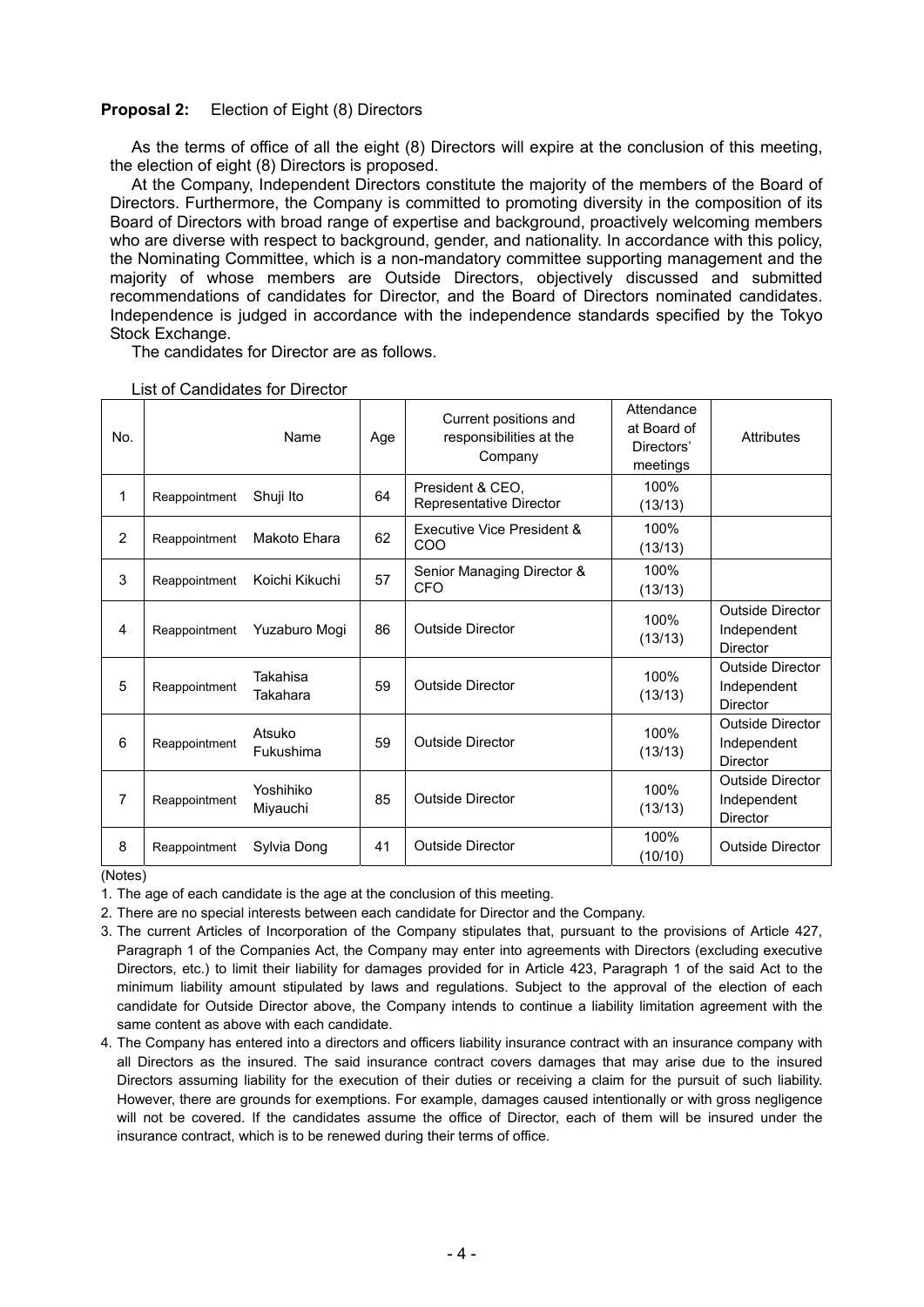#### **Proposal 2:** Election of Eight (8) Directors

As the terms of office of all the eight (8) Directors will expire at the conclusion of this meeting, the election of eight (8) Directors is proposed.

At the Company, Independent Directors constitute the majority of the members of the Board of Directors. Furthermore, the Company is committed to promoting diversity in the composition of its Board of Directors with broad range of expertise and background, proactively welcoming members who are diverse with respect to background, gender, and nationality. In accordance with this policy, the Nominating Committee, which is a non-mandatory committee supporting management and the majority of whose members are Outside Directors, objectively discussed and submitted recommendations of candidates for Director, and the Board of Directors nominated candidates. Independence is judged in accordance with the independence standards specified by the Tokyo Stock Exchange.

The candidates for Director are as follows.

| No.            |               | Name                  | Age | Current positions and<br>responsibilities at the<br>Company | Attendance<br>at Board of<br>Directors'<br>meetings | Attributes                                                |
|----------------|---------------|-----------------------|-----|-------------------------------------------------------------|-----------------------------------------------------|-----------------------------------------------------------|
| 1              | Reappointment | Shuji Ito             | 64  | President & CEO,<br>Representative Director                 | 100%<br>(13/13)                                     |                                                           |
| $\overline{2}$ | Reappointment | Makoto Ehara          | 62  | Executive Vice President &<br>COO                           | 100%<br>(13/13)                                     |                                                           |
| 3              | Reappointment | Koichi Kikuchi        | 57  | Senior Managing Director &<br><b>CFO</b>                    | 100%<br>(13/13)                                     |                                                           |
| 4              | Reappointment | Yuzaburo Mogi         | 86  | <b>Outside Director</b>                                     | 100%<br>(13/13)                                     | <b>Outside Director</b><br>Independent<br><b>Director</b> |
| 5              | Reappointment | Takahisa<br>Takahara  | 59  | <b>Outside Director</b>                                     | 100%<br>(13/13)                                     | <b>Outside Director</b><br>Independent<br><b>Director</b> |
| 6              | Reappointment | Atsuko<br>Fukushima   | 59  | <b>Outside Director</b>                                     | 100%<br>(13/13)                                     | <b>Outside Director</b><br>Independent<br><b>Director</b> |
| 7              | Reappointment | Yoshihiko<br>Miyauchi | 85  | <b>Outside Director</b>                                     | 100%<br>(13/13)                                     | <b>Outside Director</b><br>Independent<br><b>Director</b> |
| 8              | Reappointment | Sylvia Dong           | 41  | <b>Outside Director</b>                                     | 100%<br>(10/10)                                     | <b>Outside Director</b>                                   |

#### List of Candidates for Director

(Notes)

- 1. The age of each candidate is the age at the conclusion of this meeting.
- 2. There are no special interests between each candidate for Director and the Company.
- 3. The current Articles of Incorporation of the Company stipulates that, pursuant to the provisions of Article 427, Paragraph 1 of the Companies Act, the Company may enter into agreements with Directors (excluding executive Directors, etc.) to limit their liability for damages provided for in Article 423, Paragraph 1 of the said Act to the minimum liability amount stipulated by laws and regulations. Subject to the approval of the election of each candidate for Outside Director above, the Company intends to continue a liability limitation agreement with the same content as above with each candidate.
- 4. The Company has entered into a directors and officers liability insurance contract with an insurance company with all Directors as the insured. The said insurance contract covers damages that may arise due to the insured Directors assuming liability for the execution of their duties or receiving a claim for the pursuit of such liability. However, there are grounds for exemptions. For example, damages caused intentionally or with gross negligence will not be covered. If the candidates assume the office of Director, each of them will be insured under the insurance contract, which is to be renewed during their terms of office.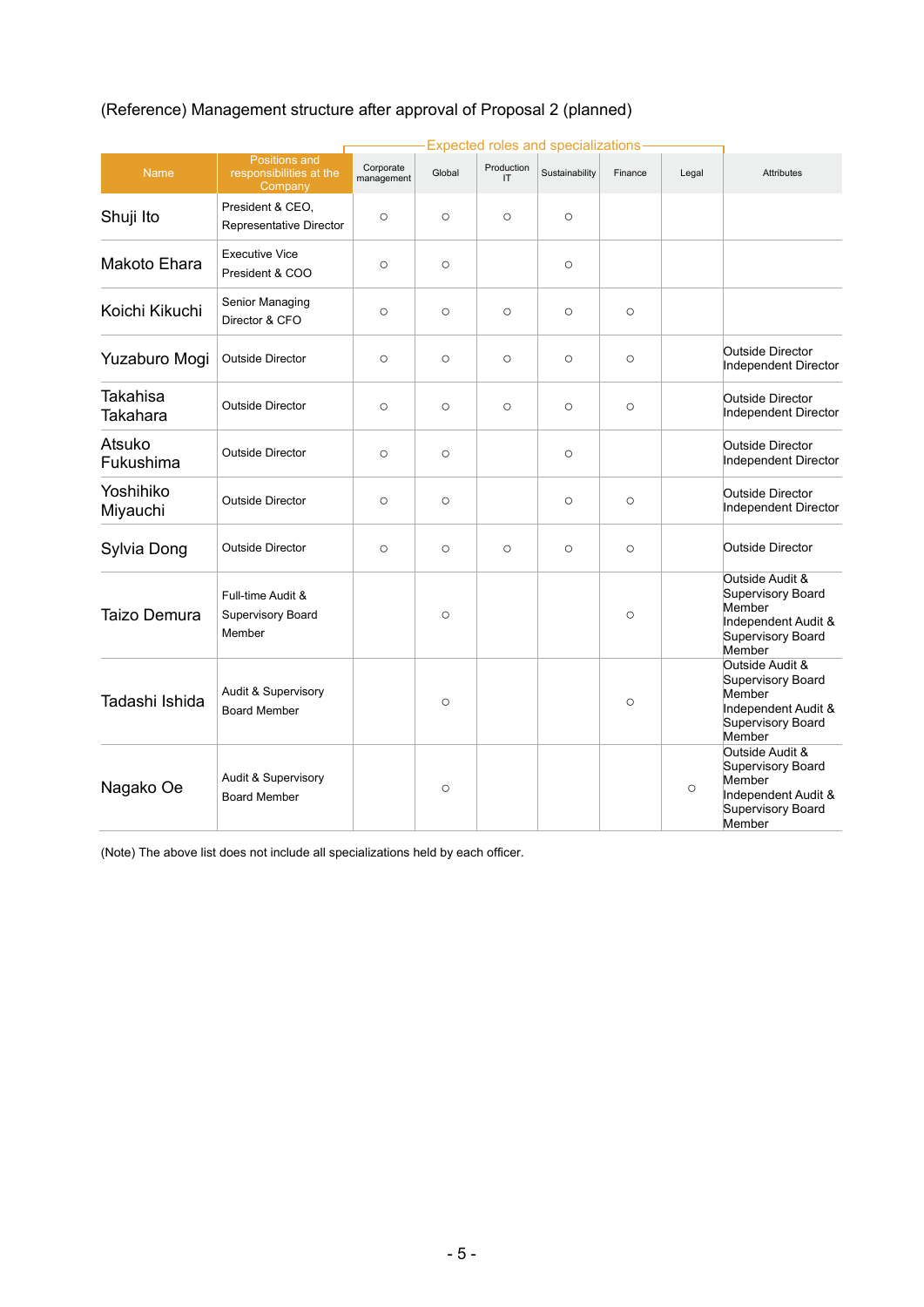|                       |                                                         |                         |         |                  | <b>Expected roles and specializations</b> |         |         |                                                                                                      |
|-----------------------|---------------------------------------------------------|-------------------------|---------|------------------|-------------------------------------------|---------|---------|------------------------------------------------------------------------------------------------------|
| Name                  | Positions and<br>responsibilities at the<br>Company     | Corporate<br>management | Global  | Production<br>IT | Sustainability                            | Finance | Legal   | <b>Attributes</b>                                                                                    |
| Shuji Ito             | President & CEO,<br>Representative Director             | $\circ$                 | $\circ$ | $\circ$          | $\circ$                                   |         |         |                                                                                                      |
| Makoto Ehara          | <b>Executive Vice</b><br>President & COO                | $\circ$                 | $\circ$ |                  | $\circ$                                   |         |         |                                                                                                      |
| Koichi Kikuchi        | Senior Managing<br>Director & CFO                       | $\circ$                 | $\circ$ | $\circ$          | $\circ$                                   | $\circ$ |         |                                                                                                      |
| Yuzaburo Mogi         | <b>Outside Director</b>                                 | $\circ$                 | $\circ$ | $\circ$          | $\circ$                                   | $\circ$ |         | Outside Director<br>Independent Director                                                             |
| Takahisa<br>Takahara  | <b>Outside Director</b>                                 | $\circ$                 | $\circ$ | $\circ$          | $\circ$                                   | $\circ$ |         | <b>Outside Director</b><br>Independent Director                                                      |
| Atsuko<br>Fukushima   | <b>Outside Director</b>                                 | $\circ$                 | $\circ$ |                  | $\circ$                                   |         |         | Outside Director<br>Independent Director                                                             |
| Yoshihiko<br>Miyauchi | <b>Outside Director</b>                                 | $\circ$                 | $\circ$ |                  | $\circ$                                   | $\circ$ |         | <b>Outside Director</b><br>Independent Director                                                      |
| Sylvia Dong           | <b>Outside Director</b>                                 | $\circ$                 | $\circ$ | $\circ$          | $\circ$                                   | $\circ$ |         | Outside Director                                                                                     |
| Taizo Demura          | Full-time Audit &<br><b>Supervisory Board</b><br>Member |                         | $\circ$ |                  |                                           | $\circ$ |         | Outside Audit &<br>Supervisory Board<br>Member<br>Independent Audit &<br>Supervisory Board<br>Member |
| Tadashi Ishida        | Audit & Supervisory<br><b>Board Member</b>              |                         | $\circ$ |                  |                                           | $\circ$ |         | Outside Audit &<br>Supervisory Board<br>Member<br>Independent Audit &<br>Supervisory Board<br>Member |
| Nagako Oe             | Audit & Supervisory<br><b>Board Member</b>              |                         | $\circ$ |                  |                                           |         | $\circ$ | Outside Audit &<br>Supervisory Board<br>Member<br>Independent Audit &<br>Supervisory Board<br>Member |

# (Reference) Management structure after approval of Proposal 2 (planned)

(Note) The above list does not include all specializations held by each officer.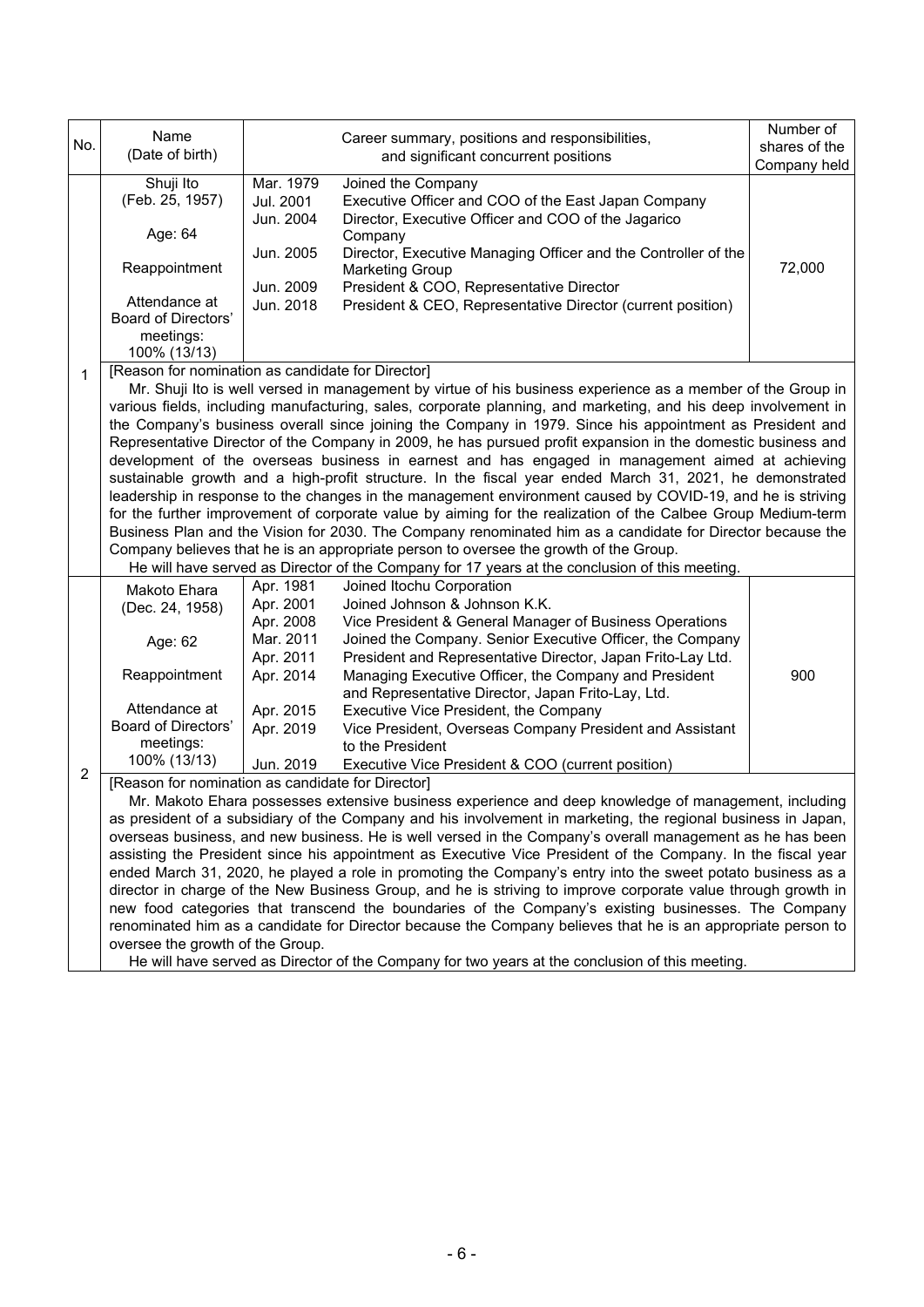| No.            | Name<br>(Date of birth)                                                                                                                                                                                                                                                                                                                                                                                                                                                                                                                                                                                                                                                                                                                                                                                                                                                                                                                                                                                                                                                                                                                                                                                                                                               |                                                                                                                   | Career summary, positions and responsibilities,<br>and significant concurrent positions                                                                                                                                                                                                                                                                                                                                                                                                                                                        | Number of<br>shares of the<br>Company held |  |
|----------------|-----------------------------------------------------------------------------------------------------------------------------------------------------------------------------------------------------------------------------------------------------------------------------------------------------------------------------------------------------------------------------------------------------------------------------------------------------------------------------------------------------------------------------------------------------------------------------------------------------------------------------------------------------------------------------------------------------------------------------------------------------------------------------------------------------------------------------------------------------------------------------------------------------------------------------------------------------------------------------------------------------------------------------------------------------------------------------------------------------------------------------------------------------------------------------------------------------------------------------------------------------------------------|-------------------------------------------------------------------------------------------------------------------|------------------------------------------------------------------------------------------------------------------------------------------------------------------------------------------------------------------------------------------------------------------------------------------------------------------------------------------------------------------------------------------------------------------------------------------------------------------------------------------------------------------------------------------------|--------------------------------------------|--|
|                | Shuji Ito<br>(Feb. 25, 1957)<br>Age: 64<br>Reappointment<br>Attendance at<br><b>Board of Directors'</b><br>meetings:<br>100% (13/13)                                                                                                                                                                                                                                                                                                                                                                                                                                                                                                                                                                                                                                                                                                                                                                                                                                                                                                                                                                                                                                                                                                                                  | Mar. 1979<br>Jul. 2001<br>Jun. 2004<br>Jun. 2005<br>Jun. 2009<br>Jun. 2018                                        | Joined the Company<br>Executive Officer and COO of the East Japan Company<br>Director, Executive Officer and COO of the Jagarico<br>Company<br>Director, Executive Managing Officer and the Controller of the<br><b>Marketing Group</b><br>President & COO, Representative Director<br>President & CEO, Representative Director (current position)                                                                                                                                                                                             | 72,000                                     |  |
| 1              | [Reason for nomination as candidate for Director]<br>Mr. Shuji Ito is well versed in management by virtue of his business experience as a member of the Group in<br>various fields, including manufacturing, sales, corporate planning, and marketing, and his deep involvement in<br>the Company's business overall since joining the Company in 1979. Since his appointment as President and<br>Representative Director of the Company in 2009, he has pursued profit expansion in the domestic business and<br>development of the overseas business in earnest and has engaged in management aimed at achieving<br>sustainable growth and a high-profit structure. In the fiscal year ended March 31, 2021, he demonstrated<br>leadership in response to the changes in the management environment caused by COVID-19, and he is striving<br>for the further improvement of corporate value by aiming for the realization of the Calbee Group Medium-term<br>Business Plan and the Vision for 2030. The Company renominated him as a candidate for Director because the<br>Company believes that he is an appropriate person to oversee the growth of the Group.<br>He will have served as Director of the Company for 17 years at the conclusion of this meeting. |                                                                                                                   |                                                                                                                                                                                                                                                                                                                                                                                                                                                                                                                                                |                                            |  |
|                | Makoto Ehara<br>(Dec. 24, 1958)<br>Age: 62<br>Reappointment<br>Attendance at<br>Board of Directors'<br>meetings:<br>100% (13/13)                                                                                                                                                                                                                                                                                                                                                                                                                                                                                                                                                                                                                                                                                                                                                                                                                                                                                                                                                                                                                                                                                                                                      | Apr. 1981<br>Apr. 2001<br>Apr. 2008<br>Mar. 2011<br>Apr. 2011<br>Apr. 2014<br>Apr. 2015<br>Apr. 2019<br>Jun. 2019 | Joined Itochu Corporation<br>Joined Johnson & Johnson K.K.<br>Vice President & General Manager of Business Operations<br>Joined the Company. Senior Executive Officer, the Company<br>President and Representative Director, Japan Frito-Lay Ltd.<br>Managing Executive Officer, the Company and President<br>and Representative Director, Japan Frito-Lay, Ltd.<br>Executive Vice President, the Company<br>Vice President, Overseas Company President and Assistant<br>to the President<br>Executive Vice President & COO (current position) | 900                                        |  |
| $\overline{2}$ | [Reason for nomination as candidate for Director]<br>Mr. Makoto Ehara possesses extensive business experience and deep knowledge of management, including<br>as president of a subsidiary of the Company and his involvement in marketing, the regional business in Japan,<br>overseas business, and new business. He is well versed in the Company's overall management as he has been<br>assisting the President since his appointment as Executive Vice President of the Company. In the fiscal year<br>ended March 31, 2020, he played a role in promoting the Company's entry into the sweet potato business as a<br>director in charge of the New Business Group, and he is striving to improve corporate value through growth in<br>new food categories that transcend the boundaries of the Company's existing businesses. The Company<br>renominated him as a candidate for Director because the Company believes that he is an appropriate person to<br>oversee the growth of the Group.<br>He will have served as Director of the Company for two years at the conclusion of this meeting.                                                                                                                                                                 |                                                                                                                   |                                                                                                                                                                                                                                                                                                                                                                                                                                                                                                                                                |                                            |  |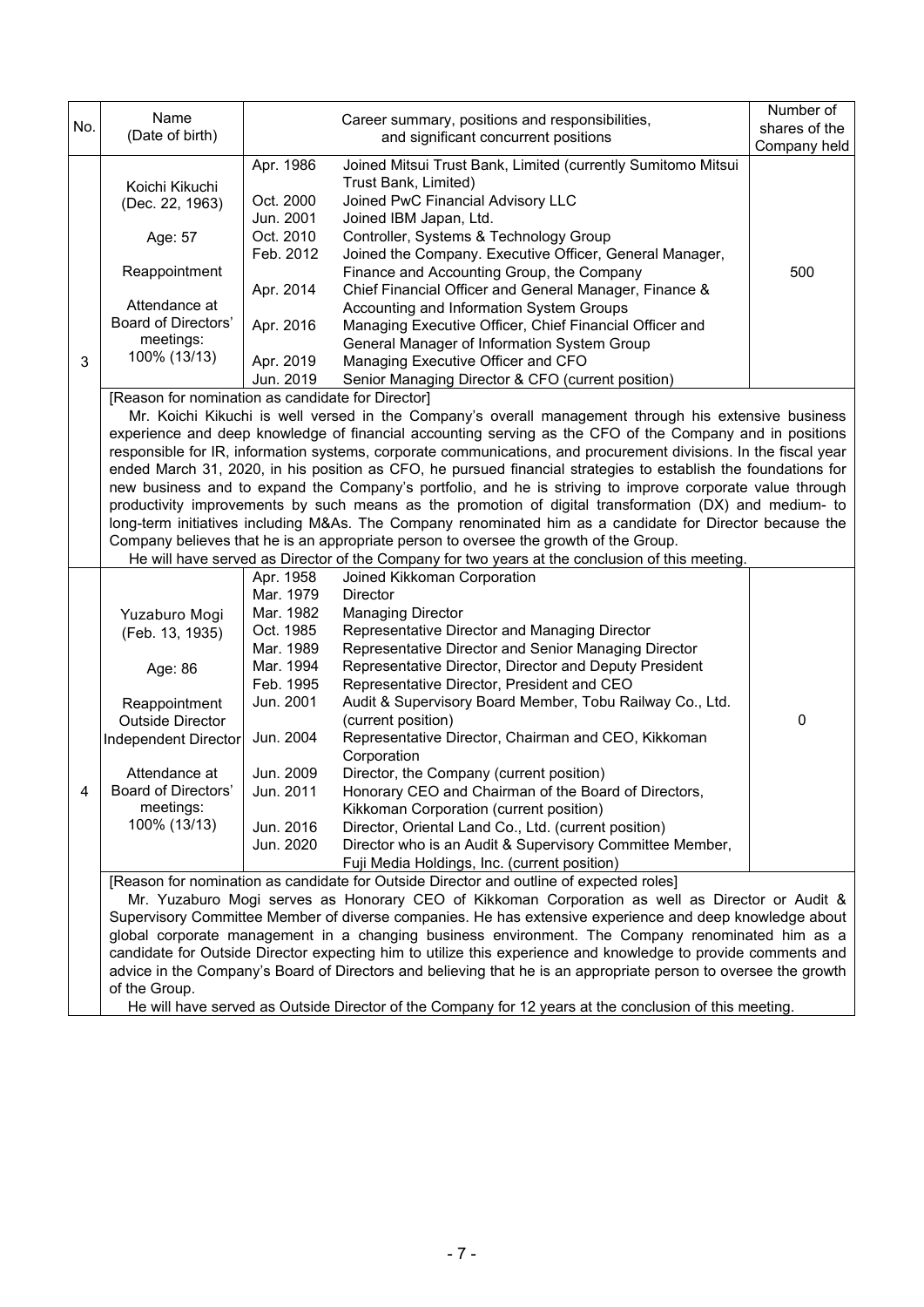| No. | Name                                                                                                                                                                                                                                                                                                                                                                                                                                                                                                                                                                                                                                                                                                                                                                                                                                                                                                                                                                                                                                        |                                                                                                                                                                       | Career summary, positions and responsibilities,                                                                                                                                                                                                                                                                                                                                                                                                                                                                                                                                                                                                                                                                                                                                                                                                                                                                                                                                                                                                                                                                                                                                                                                                                                                                                                                                                                         | Number of<br>shares of the |  |
|-----|---------------------------------------------------------------------------------------------------------------------------------------------------------------------------------------------------------------------------------------------------------------------------------------------------------------------------------------------------------------------------------------------------------------------------------------------------------------------------------------------------------------------------------------------------------------------------------------------------------------------------------------------------------------------------------------------------------------------------------------------------------------------------------------------------------------------------------------------------------------------------------------------------------------------------------------------------------------------------------------------------------------------------------------------|-----------------------------------------------------------------------------------------------------------------------------------------------------------------------|-------------------------------------------------------------------------------------------------------------------------------------------------------------------------------------------------------------------------------------------------------------------------------------------------------------------------------------------------------------------------------------------------------------------------------------------------------------------------------------------------------------------------------------------------------------------------------------------------------------------------------------------------------------------------------------------------------------------------------------------------------------------------------------------------------------------------------------------------------------------------------------------------------------------------------------------------------------------------------------------------------------------------------------------------------------------------------------------------------------------------------------------------------------------------------------------------------------------------------------------------------------------------------------------------------------------------------------------------------------------------------------------------------------------------|----------------------------|--|
|     | (Date of birth)                                                                                                                                                                                                                                                                                                                                                                                                                                                                                                                                                                                                                                                                                                                                                                                                                                                                                                                                                                                                                             |                                                                                                                                                                       | and significant concurrent positions                                                                                                                                                                                                                                                                                                                                                                                                                                                                                                                                                                                                                                                                                                                                                                                                                                                                                                                                                                                                                                                                                                                                                                                                                                                                                                                                                                                    | Company held               |  |
|     | Koichi Kikuchi<br>(Dec. 22, 1963)<br>Age: 57                                                                                                                                                                                                                                                                                                                                                                                                                                                                                                                                                                                                                                                                                                                                                                                                                                                                                                                                                                                                | Apr. 1986<br>Oct. 2000<br>Jun. 2001<br>Oct. 2010<br>Feb. 2012                                                                                                         | Joined Mitsui Trust Bank, Limited (currently Sumitomo Mitsui<br>Trust Bank, Limited)<br>Joined PwC Financial Advisory LLC<br>Joined IBM Japan, Ltd.<br>Controller, Systems & Technology Group<br>Joined the Company. Executive Officer, General Manager,                                                                                                                                                                                                                                                                                                                                                                                                                                                                                                                                                                                                                                                                                                                                                                                                                                                                                                                                                                                                                                                                                                                                                                |                            |  |
| 3   | Reappointment<br>Attendance at<br><b>Board of Directors'</b><br>meetings:<br>100% (13/13)                                                                                                                                                                                                                                                                                                                                                                                                                                                                                                                                                                                                                                                                                                                                                                                                                                                                                                                                                   | Apr. 2014<br>Apr. 2016<br>Apr. 2019<br>Jun. 2019                                                                                                                      | Finance and Accounting Group, the Company<br>Chief Financial Officer and General Manager, Finance &<br>Accounting and Information System Groups<br>Managing Executive Officer, Chief Financial Officer and<br>General Manager of Information System Group<br>Managing Executive Officer and CFO<br>Senior Managing Director & CFO (current position)                                                                                                                                                                                                                                                                                                                                                                                                                                                                                                                                                                                                                                                                                                                                                                                                                                                                                                                                                                                                                                                                    | 500                        |  |
|     | [Reason for nomination as candidate for Director]<br>Mr. Koichi Kikuchi is well versed in the Company's overall management through his extensive business<br>experience and deep knowledge of financial accounting serving as the CFO of the Company and in positions<br>responsible for IR, information systems, corporate communications, and procurement divisions. In the fiscal year<br>ended March 31, 2020, in his position as CFO, he pursued financial strategies to establish the foundations for<br>new business and to expand the Company's portfolio, and he is striving to improve corporate value through<br>productivity improvements by such means as the promotion of digital transformation (DX) and medium- to<br>long-term initiatives including M&As. The Company renominated him as a candidate for Director because the<br>Company believes that he is an appropriate person to oversee the growth of the Group.<br>He will have served as Director of the Company for two years at the conclusion of this meeting. |                                                                                                                                                                       |                                                                                                                                                                                                                                                                                                                                                                                                                                                                                                                                                                                                                                                                                                                                                                                                                                                                                                                                                                                                                                                                                                                                                                                                                                                                                                                                                                                                                         |                            |  |
| 4   | Yuzaburo Mogi<br>(Feb. 13, 1935)<br>Age: 86<br>Reappointment<br><b>Outside Director</b><br>Independent Director<br>Attendance at<br>Board of Directors'<br>meetings:<br>100% (13/13)<br>of the Group.                                                                                                                                                                                                                                                                                                                                                                                                                                                                                                                                                                                                                                                                                                                                                                                                                                       | Apr. 1958<br>Mar. 1979<br>Mar. 1982<br>Oct. 1985<br>Mar. 1989<br>Mar. 1994<br>Feb. 1995<br>Jun. 2001<br>Jun. 2004<br>Jun. 2009<br>Jun. 2011<br>Jun. 2016<br>Jun. 2020 | Joined Kikkoman Corporation<br><b>Director</b><br><b>Managing Director</b><br>Representative Director and Managing Director<br>Representative Director and Senior Managing Director<br>Representative Director, Director and Deputy President<br>Representative Director, President and CEO<br>Audit & Supervisory Board Member, Tobu Railway Co., Ltd.<br>(current position)<br>Representative Director, Chairman and CEO, Kikkoman<br>Corporation<br>Director, the Company (current position)<br>Honorary CEO and Chairman of the Board of Directors.<br>Kikkoman Corporation (current position)<br>Director, Oriental Land Co., Ltd. (current position)<br>Director who is an Audit & Supervisory Committee Member,<br>Fuji Media Holdings, Inc. (current position)<br>[Reason for nomination as candidate for Outside Director and outline of expected roles]<br>Mr. Yuzaburo Mogi serves as Honorary CEO of Kikkoman Corporation as well as Director or Audit &<br>Supervisory Committee Member of diverse companies. He has extensive experience and deep knowledge about<br>global corporate management in a changing business environment. The Company renominated him as a<br>candidate for Outside Director expecting him to utilize this experience and knowledge to provide comments and<br>advice in the Company's Board of Directors and believing that he is an appropriate person to oversee the growth | 0                          |  |

He will have served as Outside Director of the Company for 12 years at the conclusion of this meeting.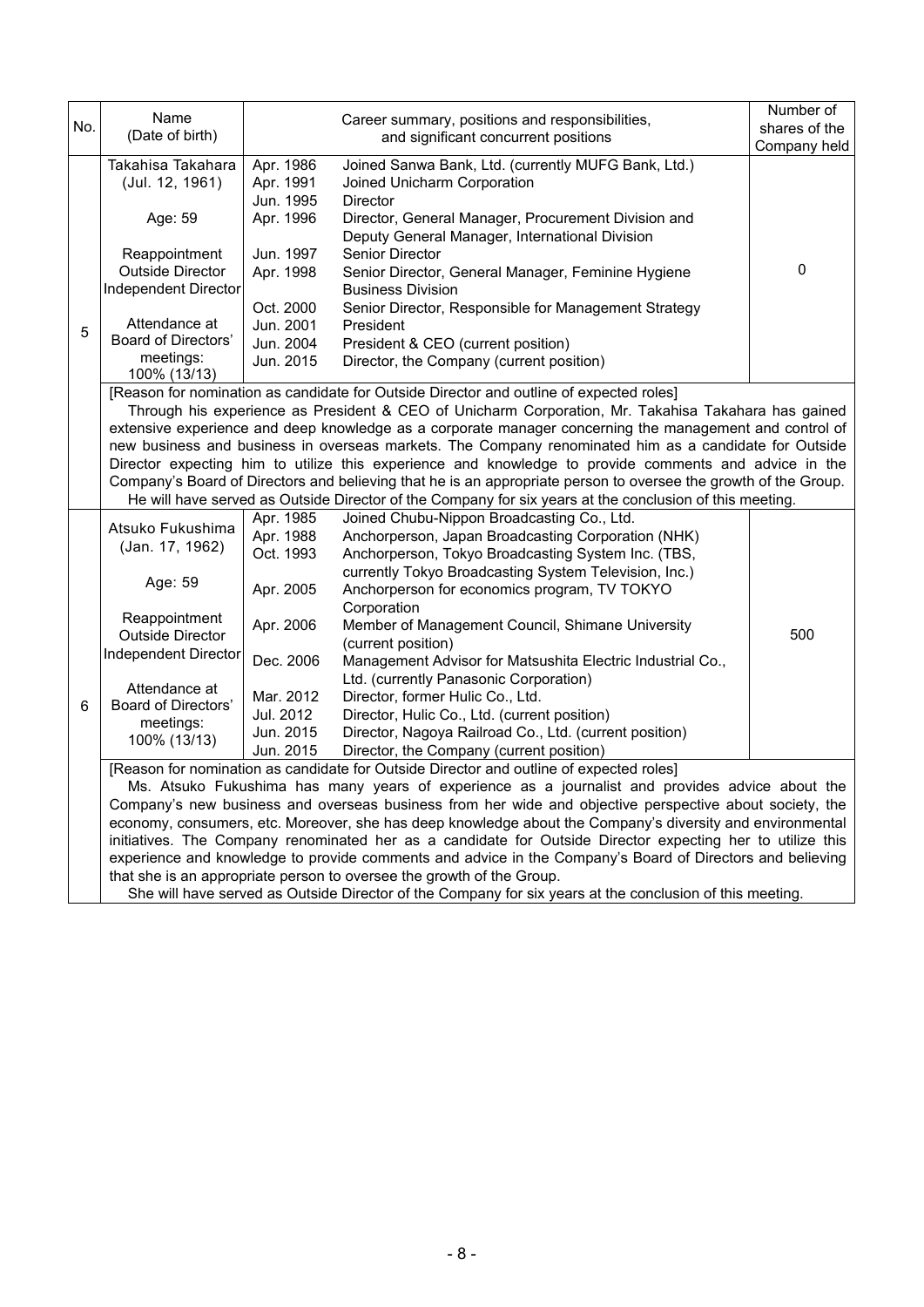|     | Name                                                                                                       |                                                                                                         |                                                                                                                                                                                                 | Number of     |  |  |  |  |
|-----|------------------------------------------------------------------------------------------------------------|---------------------------------------------------------------------------------------------------------|-------------------------------------------------------------------------------------------------------------------------------------------------------------------------------------------------|---------------|--|--|--|--|
| No. | (Date of birth)                                                                                            |                                                                                                         | Career summary, positions and responsibilities,                                                                                                                                                 | shares of the |  |  |  |  |
|     |                                                                                                            |                                                                                                         | and significant concurrent positions                                                                                                                                                            | Company held  |  |  |  |  |
|     | Takahisa Takahara                                                                                          | Apr. 1986                                                                                               | Joined Sanwa Bank, Ltd. (currently MUFG Bank, Ltd.)                                                                                                                                             |               |  |  |  |  |
|     | (Jul. 12, 1961)                                                                                            | Apr. 1991                                                                                               | Joined Unicharm Corporation                                                                                                                                                                     |               |  |  |  |  |
|     |                                                                                                            | Jun. 1995                                                                                               | <b>Director</b>                                                                                                                                                                                 |               |  |  |  |  |
|     | Age: 59                                                                                                    | Apr. 1996                                                                                               | Director, General Manager, Procurement Division and                                                                                                                                             |               |  |  |  |  |
|     |                                                                                                            |                                                                                                         | Deputy General Manager, International Division                                                                                                                                                  |               |  |  |  |  |
|     | Reappointment                                                                                              | Jun. 1997                                                                                               | Senior Director                                                                                                                                                                                 |               |  |  |  |  |
|     | <b>Outside Director</b>                                                                                    | Apr. 1998                                                                                               | Senior Director, General Manager, Feminine Hygiene                                                                                                                                              | 0             |  |  |  |  |
|     | Independent Director                                                                                       |                                                                                                         | <b>Business Division</b>                                                                                                                                                                        |               |  |  |  |  |
|     |                                                                                                            | Oct. 2000                                                                                               | Senior Director, Responsible for Management Strategy                                                                                                                                            |               |  |  |  |  |
| 5   | Attendance at                                                                                              | Jun. 2001                                                                                               | President                                                                                                                                                                                       |               |  |  |  |  |
|     | Board of Directors'                                                                                        | Jun. 2004                                                                                               | President & CEO (current position)                                                                                                                                                              |               |  |  |  |  |
|     | meetings:<br>100% (13/13)                                                                                  | Jun. 2015                                                                                               | Director, the Company (current position)                                                                                                                                                        |               |  |  |  |  |
|     |                                                                                                            |                                                                                                         | [Reason for nomination as candidate for Outside Director and outline of expected roles]                                                                                                         |               |  |  |  |  |
|     |                                                                                                            |                                                                                                         | Through his experience as President & CEO of Unicharm Corporation, Mr. Takahisa Takahara has gained                                                                                             |               |  |  |  |  |
|     |                                                                                                            |                                                                                                         | extensive experience and deep knowledge as a corporate manager concerning the management and control of                                                                                         |               |  |  |  |  |
|     |                                                                                                            |                                                                                                         | new business and business in overseas markets. The Company renominated him as a candidate for Outside                                                                                           |               |  |  |  |  |
|     |                                                                                                            |                                                                                                         | Director expecting him to utilize this experience and knowledge to provide comments and advice in the                                                                                           |               |  |  |  |  |
|     |                                                                                                            |                                                                                                         | Company's Board of Directors and believing that he is an appropriate person to oversee the growth of the Group.                                                                                 |               |  |  |  |  |
|     |                                                                                                            |                                                                                                         | He will have served as Outside Director of the Company for six years at the conclusion of this meeting.                                                                                         |               |  |  |  |  |
|     |                                                                                                            | Apr. 1985                                                                                               | Joined Chubu-Nippon Broadcasting Co., Ltd.                                                                                                                                                      |               |  |  |  |  |
|     | Atsuko Fukushima                                                                                           | Apr. 1988                                                                                               | Anchorperson, Japan Broadcasting Corporation (NHK)                                                                                                                                              |               |  |  |  |  |
|     | (Jan. 17, 1962)                                                                                            | Oct. 1993                                                                                               | Anchorperson, Tokyo Broadcasting System Inc. (TBS,                                                                                                                                              |               |  |  |  |  |
|     | Age: 59                                                                                                    |                                                                                                         | currently Tokyo Broadcasting System Television, Inc.)                                                                                                                                           |               |  |  |  |  |
|     |                                                                                                            | Apr. 2005                                                                                               | Anchorperson for economics program, TV TOKYO                                                                                                                                                    |               |  |  |  |  |
|     |                                                                                                            |                                                                                                         | Corporation                                                                                                                                                                                     |               |  |  |  |  |
|     | Reappointment                                                                                              | Apr. 2006                                                                                               | Member of Management Council, Shimane University                                                                                                                                                | 500           |  |  |  |  |
|     | <b>Outside Director</b>                                                                                    |                                                                                                         | (current position)                                                                                                                                                                              |               |  |  |  |  |
|     | Independent Director                                                                                       | Dec. 2006                                                                                               | Management Advisor for Matsushita Electric Industrial Co.,                                                                                                                                      |               |  |  |  |  |
|     | Attendance at                                                                                              |                                                                                                         | Ltd. (currently Panasonic Corporation)                                                                                                                                                          |               |  |  |  |  |
| 6   | Board of Directors'                                                                                        | Mar. 2012                                                                                               | Director, former Hulic Co., Ltd.                                                                                                                                                                |               |  |  |  |  |
|     | meetings:                                                                                                  | Jul. 2012                                                                                               | Director, Hulic Co., Ltd. (current position)                                                                                                                                                    |               |  |  |  |  |
|     | 100% (13/13)                                                                                               | Jun. 2015                                                                                               | Director, Nagoya Railroad Co., Ltd. (current position)                                                                                                                                          |               |  |  |  |  |
|     |                                                                                                            | Jun. 2015                                                                                               | Director, the Company (current position)                                                                                                                                                        |               |  |  |  |  |
|     |                                                                                                            |                                                                                                         | [Reason for nomination as candidate for Outside Director and outline of expected roles]                                                                                                         |               |  |  |  |  |
|     | Ms. Atsuko Fukushima has many years of experience as a journalist and provides advice about the            |                                                                                                         |                                                                                                                                                                                                 |               |  |  |  |  |
|     |                                                                                                            | Company's new business and overseas business from her wide and objective perspective about society, the |                                                                                                                                                                                                 |               |  |  |  |  |
|     | economy, consumers, etc. Moreover, she has deep knowledge about the Company's diversity and environmental  |                                                                                                         |                                                                                                                                                                                                 |               |  |  |  |  |
|     | initiatives. The Company renominated her as a candidate for Outside Director expecting her to utilize this |                                                                                                         |                                                                                                                                                                                                 |               |  |  |  |  |
|     | experience and knowledge to provide comments and advice in the Company's Board of Directors and believing  |                                                                                                         |                                                                                                                                                                                                 |               |  |  |  |  |
|     |                                                                                                            |                                                                                                         | that she is an appropriate person to oversee the growth of the Group.<br>Che vill have a smith an Outside Disaster of the Courses of fame<br>وبالمصادر والملط كرمان ويحاجب بالمتورد والمتحالفات |               |  |  |  |  |

She will have served as Outside Director of the Company for six years at the conclusion of this meeting.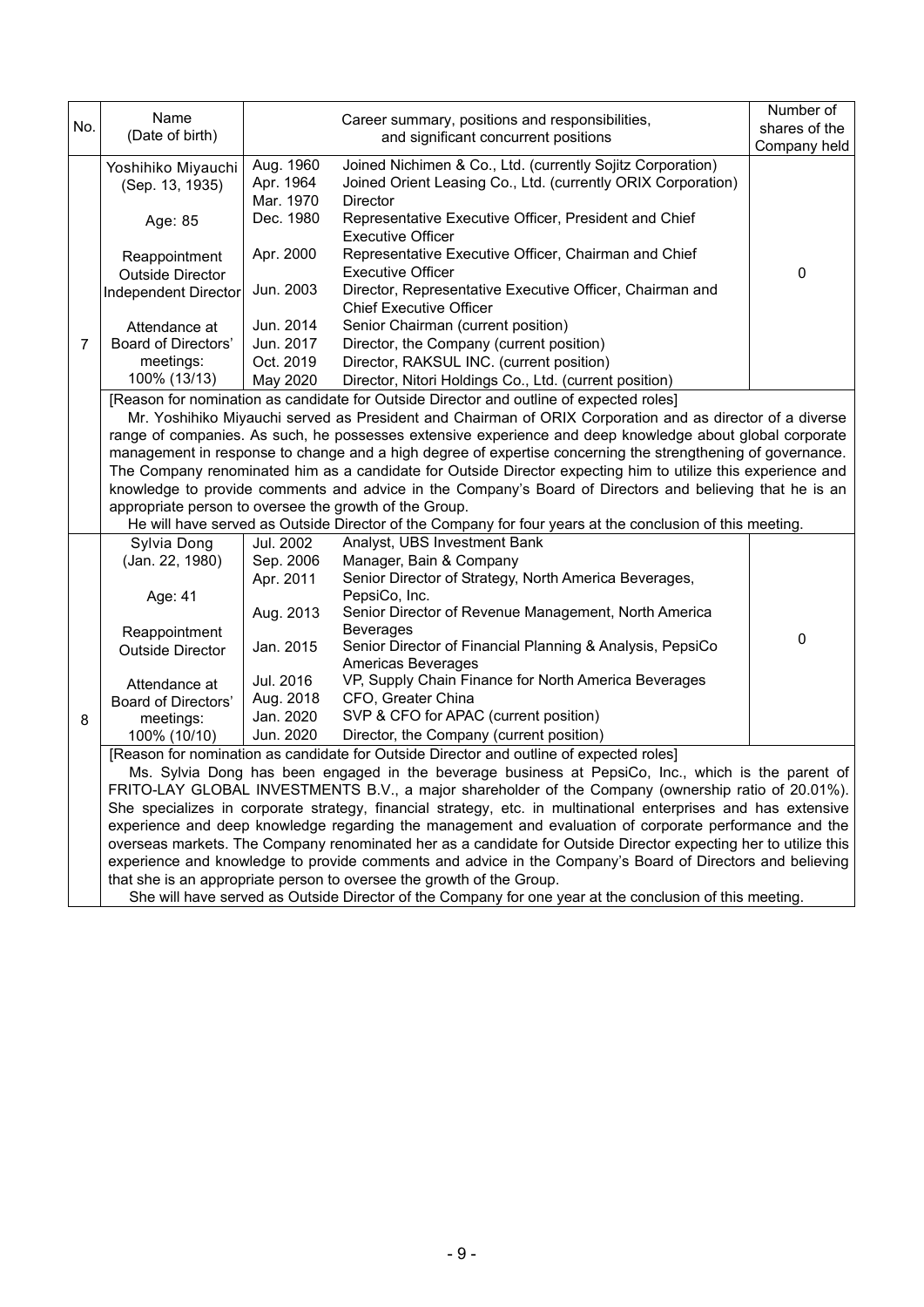| No.                                                                                                            | Name<br>(Date of birth)                                                                                         |                        | Career summary, positions and responsibilities,<br>and significant concurrent positions                      | Number of<br>shares of the |  |  |
|----------------------------------------------------------------------------------------------------------------|-----------------------------------------------------------------------------------------------------------------|------------------------|--------------------------------------------------------------------------------------------------------------|----------------------------|--|--|
|                                                                                                                |                                                                                                                 |                        |                                                                                                              | Company held               |  |  |
|                                                                                                                | Yoshihiko Miyauchi                                                                                              | Aug. 1960              | Joined Nichimen & Co., Ltd. (currently Sojitz Corporation)                                                   |                            |  |  |
|                                                                                                                | (Sep. 13, 1935)                                                                                                 | Apr. 1964<br>Mar. 1970 | Joined Orient Leasing Co., Ltd. (currently ORIX Corporation)<br><b>Director</b>                              |                            |  |  |
|                                                                                                                |                                                                                                                 | Dec. 1980              | Representative Executive Officer, President and Chief                                                        |                            |  |  |
|                                                                                                                | Age: 85                                                                                                         |                        | <b>Executive Officer</b>                                                                                     |                            |  |  |
|                                                                                                                | Reappointment                                                                                                   | Apr. 2000              | Representative Executive Officer, Chairman and Chief                                                         |                            |  |  |
|                                                                                                                | <b>Outside Director</b>                                                                                         |                        | <b>Executive Officer</b>                                                                                     | $\Omega$                   |  |  |
|                                                                                                                | Independent Director                                                                                            | Jun. 2003              | Director, Representative Executive Officer, Chairman and<br><b>Chief Executive Officer</b>                   |                            |  |  |
|                                                                                                                | Attendance at                                                                                                   | Jun. 2014              | Senior Chairman (current position)                                                                           |                            |  |  |
| $\overline{7}$                                                                                                 | Board of Directors'                                                                                             | Jun. 2017              | Director, the Company (current position)                                                                     |                            |  |  |
|                                                                                                                | meetings:                                                                                                       | Oct. 2019              | Director, RAKSUL INC. (current position)                                                                     |                            |  |  |
|                                                                                                                | 100% (13/13)                                                                                                    | May 2020               | Director, Nitori Holdings Co., Ltd. (current position)                                                       |                            |  |  |
|                                                                                                                |                                                                                                                 |                        | [Reason for nomination as candidate for Outside Director and outline of expected roles]                      |                            |  |  |
|                                                                                                                |                                                                                                                 |                        | Mr. Yoshihiko Miyauchi served as President and Chairman of ORIX Corporation and as director of a diverse     |                            |  |  |
|                                                                                                                |                                                                                                                 |                        | range of companies. As such, he possesses extensive experience and deep knowledge about global corporate     |                            |  |  |
|                                                                                                                |                                                                                                                 |                        | management in response to change and a high degree of expertise concerning the strengthening of governance.  |                            |  |  |
|                                                                                                                |                                                                                                                 |                        | The Company renominated him as a candidate for Outside Director expecting him to utilize this experience and |                            |  |  |
|                                                                                                                |                                                                                                                 |                        | knowledge to provide comments and advice in the Company's Board of Directors and believing that he is an     |                            |  |  |
|                                                                                                                | appropriate person to oversee the growth of the Group.                                                          |                        |                                                                                                              |                            |  |  |
|                                                                                                                |                                                                                                                 |                        | He will have served as Outside Director of the Company for four years at the conclusion of this meeting.     |                            |  |  |
|                                                                                                                | Sylvia Dong                                                                                                     | Jul. 2002              | Analyst, UBS Investment Bank                                                                                 |                            |  |  |
|                                                                                                                | (Jan. 22, 1980)                                                                                                 | Sep. 2006              | Manager, Bain & Company<br>Senior Director of Strategy, North America Beverages,                             |                            |  |  |
|                                                                                                                | Age: 41                                                                                                         | Apr. 2011              | PepsiCo, Inc.                                                                                                |                            |  |  |
|                                                                                                                |                                                                                                                 | Aug. 2013              | Senior Director of Revenue Management, North America                                                         |                            |  |  |
|                                                                                                                | Reappointment                                                                                                   |                        | <b>Beverages</b>                                                                                             |                            |  |  |
|                                                                                                                | <b>Outside Director</b>                                                                                         | Jan. 2015              | Senior Director of Financial Planning & Analysis, PepsiCo                                                    | $\mathbf 0$                |  |  |
|                                                                                                                |                                                                                                                 |                        | Americas Beverages                                                                                           |                            |  |  |
|                                                                                                                | Attendance at                                                                                                   | Jul. 2016              | VP, Supply Chain Finance for North America Beverages                                                         |                            |  |  |
|                                                                                                                | Board of Directors'                                                                                             | Aug. 2018              | CFO, Greater China                                                                                           |                            |  |  |
| 8                                                                                                              | meetings:                                                                                                       | Jan. 2020              | SVP & CFO for APAC (current position)                                                                        |                            |  |  |
|                                                                                                                | 100% (10/10)                                                                                                    | Jun. 2020              | Director, the Company (current position)                                                                     |                            |  |  |
|                                                                                                                | [Reason for nomination as candidate for Outside Director and outline of expected roles]                         |                        |                                                                                                              |                            |  |  |
|                                                                                                                | Ms. Sylvia Dong has been engaged in the beverage business at PepsiCo, Inc., which is the parent of              |                        |                                                                                                              |                            |  |  |
|                                                                                                                | FRITO-LAY GLOBAL INVESTMENTS B.V., a major shareholder of the Company (ownership ratio of 20.01%).              |                        |                                                                                                              |                            |  |  |
| She specializes in corporate strategy, financial strategy, etc. in multinational enterprises and has extensive |                                                                                                                 |                        |                                                                                                              |                            |  |  |
|                                                                                                                |                                                                                                                 |                        | experience and deep knowledge regarding the management and evaluation of corporate performance and the       |                            |  |  |
|                                                                                                                | overseas markets. The Company renominated her as a candidate for Outside Director expecting her to utilize this |                        |                                                                                                              |                            |  |  |
|                                                                                                                |                                                                                                                 |                        | experience and knowledge to provide comments and advice in the Company's Board of Directors and believing    |                            |  |  |
|                                                                                                                |                                                                                                                 |                        | that she is an appropriate person to oversee the growth of the Group.                                        |                            |  |  |
|                                                                                                                | She will have served as Outside Director of the Company for one year at the conclusion of this meeting.         |                        |                                                                                                              |                            |  |  |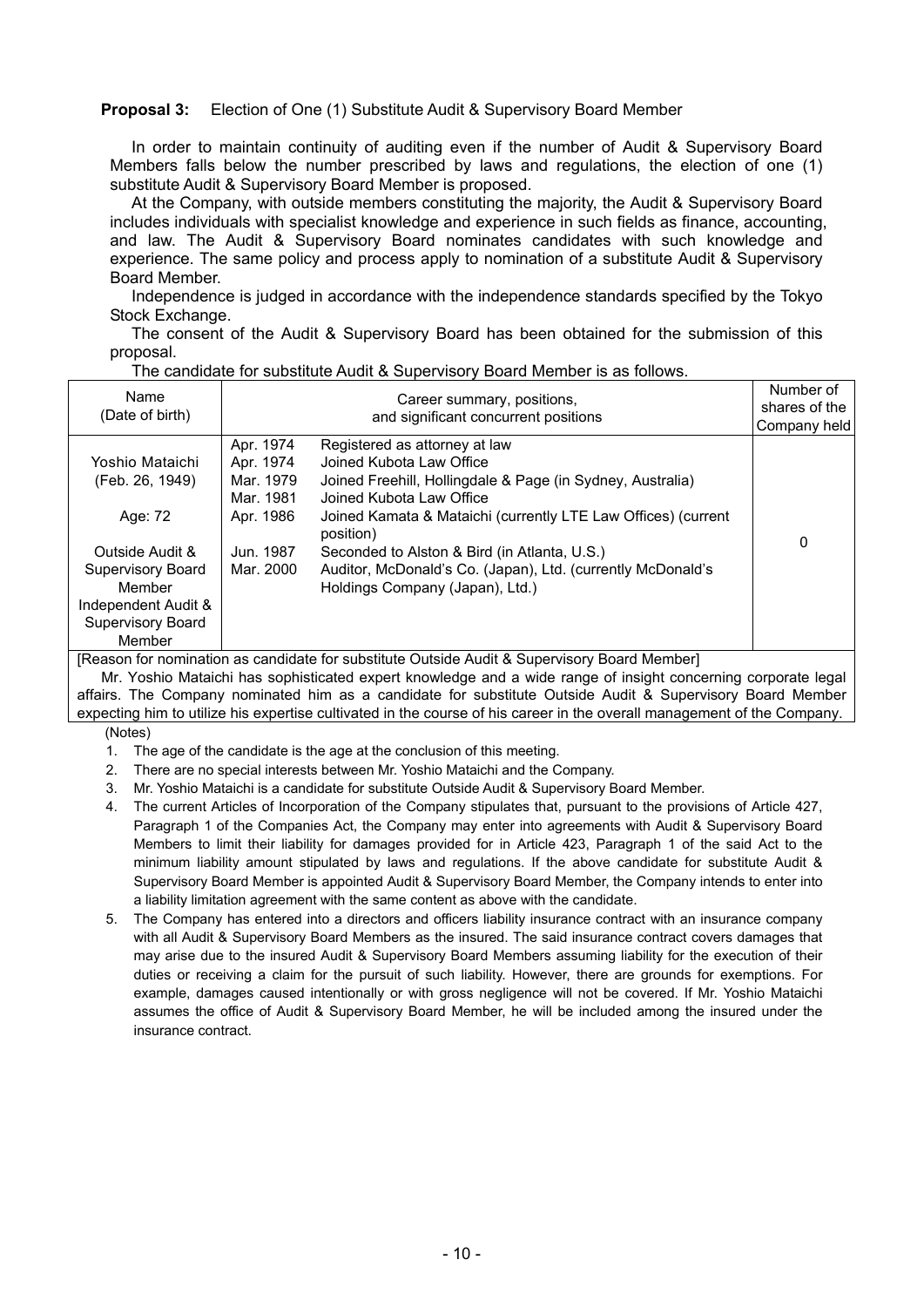#### **Proposal 3:** Election of One (1) Substitute Audit & Supervisory Board Member

In order to maintain continuity of auditing even if the number of Audit & Supervisory Board Members falls below the number prescribed by laws and regulations, the election of one (1) substitute Audit & Supervisory Board Member is proposed.

At the Company, with outside members constituting the majority, the Audit & Supervisory Board includes individuals with specialist knowledge and experience in such fields as finance, accounting, and law. The Audit & Supervisory Board nominates candidates with such knowledge and experience. The same policy and process apply to nomination of a substitute Audit & Supervisory Board Member.

Independence is judged in accordance with the independence standards specified by the Tokyo Stock Exchange.

The consent of the Audit & Supervisory Board has been obtained for the submission of this proposal.

| Name<br>(Date of birth)                                                                                                                                      |                                                                                         | Career summary, positions,<br>and significant concurrent positions                                                                                                                                                                                                                                                                                                                  | Number of<br>shares of the<br>Company held |
|--------------------------------------------------------------------------------------------------------------------------------------------------------------|-----------------------------------------------------------------------------------------|-------------------------------------------------------------------------------------------------------------------------------------------------------------------------------------------------------------------------------------------------------------------------------------------------------------------------------------------------------------------------------------|--------------------------------------------|
| Yoshio Mataichi<br>(Feb. 26, 1949)<br>Age: 72<br>Outside Audit &<br>Supervisory Board<br>Member<br>Independent Audit &<br><b>Supervisory Board</b><br>Member | Apr. 1974<br>Apr. 1974<br>Mar. 1979<br>Mar. 1981<br>Apr. 1986<br>Jun. 1987<br>Mar. 2000 | Registered as attorney at law<br>Joined Kubota Law Office<br>Joined Freehill, Hollingdale & Page (in Sydney, Australia)<br>Joined Kubota Law Office<br>Joined Kamata & Mataichi (currently LTE Law Offices) (current<br>position)<br>Seconded to Alston & Bird (in Atlanta, U.S.)<br>Auditor, McDonald's Co. (Japan), Ltd. (currently McDonald's<br>Holdings Company (Japan), Ltd.) | 0                                          |

The candidate for substitute Audit & Supervisory Board Member is as follows.

[Reason for nomination as candidate for substitute Outside Audit & Supervisory Board Member]

Mr. Yoshio Mataichi has sophisticated expert knowledge and a wide range of insight concerning corporate legal affairs. The Company nominated him as a candidate for substitute Outside Audit & Supervisory Board Member expecting him to utilize his expertise cultivated in the course of his career in the overall management of the Company.

(Notes)

- 1. The age of the candidate is the age at the conclusion of this meeting.
- 2. There are no special interests between Mr. Yoshio Mataichi and the Company.
- 3. Mr. Yoshio Mataichi is a candidate for substitute Outside Audit & Supervisory Board Member.
- 4. The current Articles of Incorporation of the Company stipulates that, pursuant to the provisions of Article 427, Paragraph 1 of the Companies Act, the Company may enter into agreements with Audit & Supervisory Board Members to limit their liability for damages provided for in Article 423, Paragraph 1 of the said Act to the minimum liability amount stipulated by laws and regulations. If the above candidate for substitute Audit & Supervisory Board Member is appointed Audit & Supervisory Board Member, the Company intends to enter into a liability limitation agreement with the same content as above with the candidate.
- 5. The Company has entered into a directors and officers liability insurance contract with an insurance company with all Audit & Supervisory Board Members as the insured. The said insurance contract covers damages that may arise due to the insured Audit & Supervisory Board Members assuming liability for the execution of their duties or receiving a claim for the pursuit of such liability. However, there are grounds for exemptions. For example, damages caused intentionally or with gross negligence will not be covered. If Mr. Yoshio Mataichi assumes the office of Audit & Supervisory Board Member, he will be included among the insured under the insurance contract.